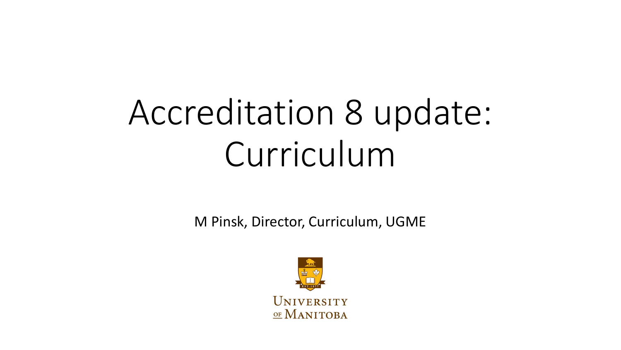## Accreditation 8 update: Curriculum

M Pinsk, Director, Curriculum, UGME

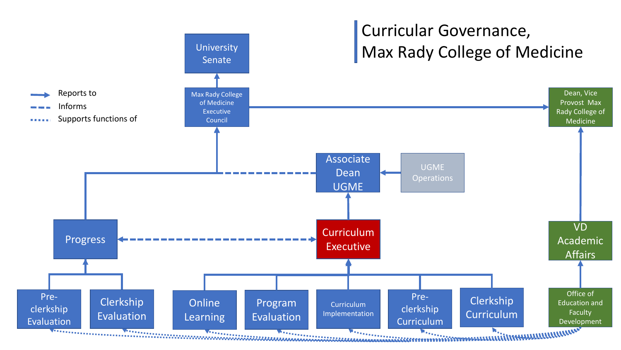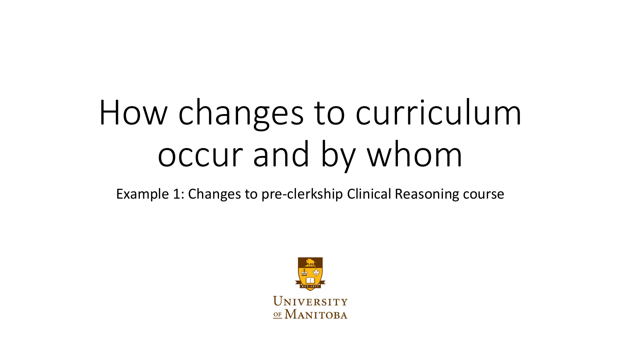# How changes to curriculum occur and by whom

Example 1: Changes to pre-clerkship Clinical Reasoning course

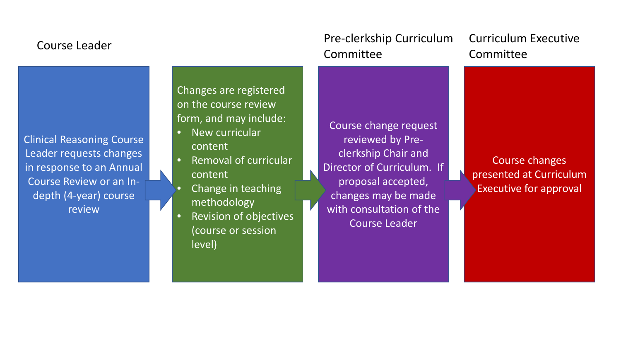#### Course Leader

Clinical Reasoning Course Leader requests changes in response to an Annual Course Review or an Indepth (4-year) course review

Changes are registered on the course review form, and may include:

- New curricular content
- Removal of curricular content
	- **Change in teaching** methodology
- Revision of objectives (course or session level)

### Pre-clerkship Curriculum Committee

Course change request reviewed by Preclerkship Chair and Director of Curriculum. If proposal accepted, changes may be made with consultation of the Course Leader

Curriculum Executive **Committee** 

Course changes presented at Curriculum Executive for approval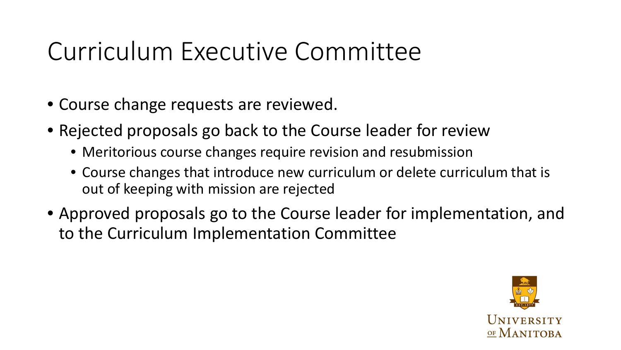### Curriculum Executive Committee

- Course change requests are reviewed.
- Rejected proposals go back to the Course leader for review
	- Meritorious course changes require revision and resubmission
	- Course changes that introduce new curriculum or delete curriculum that is out of keeping with mission are rejected
- Approved proposals go to the Course leader for implementation, and to the Curriculum Implementation Committee

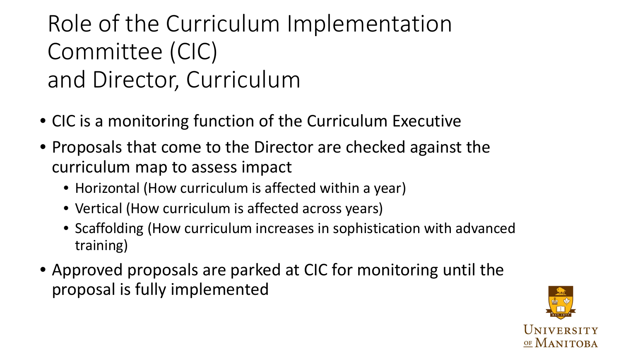### Role of the Curriculum Implementation Committee (CIC) and Director, Curriculum

- CIC is a monitoring function of the Curriculum Executive
- Proposals that come to the Director are checked against the curriculum map to assess impact
	- Horizontal (How curriculum is affected within a year)
	- Vertical (How curriculum is affected across years)
	- Scaffolding (How curriculum increases in sophistication with advanced training)
- Approved proposals are parked at CIC for monitoring until the proposal is fully implemented

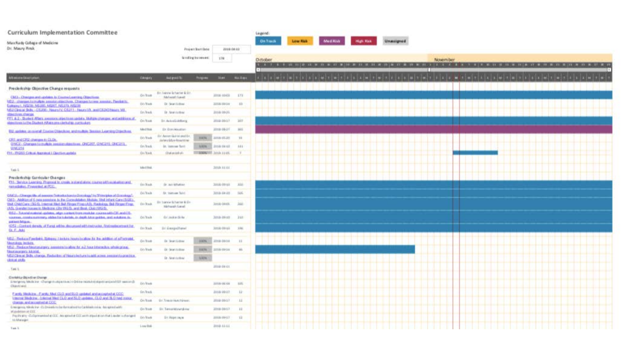| Curriculum Implementation Committee                                                                                                                                                                                                                                                                                                                                                                                                                                                                                                       |                  |                                                                    |                |                     |                | <b>Legend:</b>  |                             |          |  |            |  |  |
|-------------------------------------------------------------------------------------------------------------------------------------------------------------------------------------------------------------------------------------------------------------------------------------------------------------------------------------------------------------------------------------------------------------------------------------------------------------------------------------------------------------------------------------------|------------------|--------------------------------------------------------------------|----------------|---------------------|----------------|-----------------|-----------------------------|----------|--|------------|--|--|
| MaxRady College of Medicine                                                                                                                                                                                                                                                                                                                                                                                                                                                                                                               |                  |                                                                    |                |                     |                | <b>On Track</b> | <b>Low Risk</b>             | Med Kisk |  | Unassigned |  |  |
| Dr. Maury Resk                                                                                                                                                                                                                                                                                                                                                                                                                                                                                                                            |                  | Project Bart Date<br><b>JUIS 0640</b>                              |                |                     |                |                 |                             |          |  |            |  |  |
|                                                                                                                                                                                                                                                                                                                                                                                                                                                                                                                                           |                  | licentling training and<br>3.78                                    |                |                     | October        |                 |                             |          |  | November   |  |  |
| Afternoon Concretions                                                                                                                                                                                                                                                                                                                                                                                                                                                                                                                     | <b>CANGIN'S</b>  | <b>Aug group Re</b>                                                | <b>Purgess</b> | <b>State</b>        | <b>MALD RD</b> |                 | A 4 8 9 8 9 1 9 1 9 1 8 1 8 |          |  |            |  |  |
| Preclerkship Objective Change requests                                                                                                                                                                                                                                                                                                                                                                                                                                                                                                    |                  |                                                                    |                |                     |                |                 |                             |          |  |            |  |  |
| CM3 - Christmand spoken, in CounterLeature Objections                                                                                                                                                                                                                                                                                                                                                                                                                                                                                     | On <b>Task</b>   | Br-lawes-leharter & Br<br><b>Networts Laket</b>                    |                | JINE 40 03          | 1.73           |                 |                             |          |  |            |  |  |
| 052 / strangestormakels assalaryablestives. Changestoriese associat. Flexibilities<br>Gabaina'i, NGCO, NGJIRI, NGINT, NGCO, NGCO<br>MEZ Clemat Shills, CO2001; RimersHX, CO211; RimersV9, and CO2018men, ME.<br><b>Manufonnudowan</b>                                                                                                                                                                                                                                                                                                     | Dr. Wash         | Dr. Sean Lisbasi                                                   |                | JIIIB (39.3 6       | 411            |                 |                             |          |  |            |  |  |
|                                                                                                                                                                                                                                                                                                                                                                                                                                                                                                                                           | fin <b>Fad</b>   | The Shareholdshire                                                 |                | JULIE DINJE         |                |                 |                             |          |  |            |  |  |
| FTLA2: Qubit /Fbrs.connecturesting and A. IA420 (Forgot, mitaddition, if<br>signalitiva Luttin Student Affairs ministerbutga anatikudura                                                                                                                                                                                                                                                                                                                                                                                                  | On Your          | Br. Avisali oktovnj                                                |                | J018-00-17          | 38TF           |                 |                             |          |  |            |  |  |
| U.U. updates go coveral Courses Objectives and mutters Senator Lagreing Objectives                                                                                                                                                                                                                                                                                                                                                                                                                                                        | <b>Mod Blue</b>  | III: Gylevidinadian                                                |                | <b>JITER-DR-J-F</b> | 3415           |                 |                             |          |  |            |  |  |
| CIEL and CIEL stategar, in CLOs.                                                                                                                                                                                                                                                                                                                                                                                                                                                                                                          | Dry Wash         | All i'v. Assource Gual Kin's pright Elvi-<br>Jarwer Gdyn-Resureran | <b>JINTA</b>   | <b>JUIN 05-JU</b>   | 19             |                 |                             |          |  |            |  |  |
| UNCE- Chroam (crhulte), mediated by a CNC207, CNC210, ONC213,<br>03/2216                                                                                                                                                                                                                                                                                                                                                                                                                                                                  | fan Tradi.       | it, yes on first                                                   | <b>MAIN</b>    | TI18 04:41          | 331            |                 |                             |          |  |            |  |  |
| PH. IS 003 Critual Aucoload LOanthon, activity                                                                                                                                                                                                                                                                                                                                                                                                                                                                                            | <b>On Yack</b>   | O'el midd of                                                       |                | WWW. TOTH LLOT.     |                |                 |                             |          |  |            |  |  |
| Task &                                                                                                                                                                                                                                                                                                                                                                                                                                                                                                                                    | Wed Rok          |                                                                    |                | 3018 3111           |                |                 |                             |          |  |            |  |  |
| Proclerkship Curricular Changes                                                                                                                                                                                                                                                                                                                                                                                                                                                                                                           |                  |                                                                    |                |                     |                |                 |                             |          |  |            |  |  |
| P.H. Service Learning, Programit In crysile, and and along course in the column and<br>ramadakes Properted at PCC.                                                                                                                                                                                                                                                                                                                                                                                                                        | tio Fash.        | Dr. Jack Whattons                                                  |                | 3018-09 10          | 333.           |                 |                             |          |  |            |  |  |
| Glacia, Chegiciale al servoro Introductorrio Grossings In Trivelplus at Grossings'<br>CM 3 . Addition of 6 most announces, by the Corporation et Andrés, Well John E. Came (5.001).<br>VINE CHAI Care (3GS), Irmerial Neil Bid Forger Frequit/OL Flashving, Bid Forger Frep.<br>(AS), Gorshe traume to Medicine (Str.WGS), and Book, GMOWGS).<br>RS2-Jatoridausetel.gobies.algr.com/ort/trenausklar.communityCE.andCS.<br>GEREBER, GERBERLEGO ORD "BEBELTOCH AUFRIER, EIL dag ift Alten gestilten, and Archabism. Be-<br>product follows. | <b>Civi Wayn</b> | Dr. Vary one Tolvi-                                                |                | 3018-04-10          | 1486.          |                 |                             |          |  |            |  |  |
|                                                                                                                                                                                                                                                                                                                                                                                                                                                                                                                                           | <b>COLTAGE</b>   | ID 10000 \$200 to 8.0+<br><b>Blahamih Garad</b>                    |                | <b>ZO16-DROS</b>    | 3681           |                 |                             |          |  |            |  |  |
|                                                                                                                                                                                                                                                                                                                                                                                                                                                                                                                                           | <b>On Yach</b>   | GY-24/A36 DL/Nr                                                    |                | 3018-0910           | 3411           |                 |                             |          |  |            |  |  |
| 1072 - Gortont device of Fung without consected bitted with 7 Introducement for<br><b>Dr.F. Add</b>                                                                                                                                                                                                                                                                                                                                                                                                                                       | <b>OO Rook</b>   | Ur GeogalTend                                                      |                | 3018-09 LG          | 3,040          |                 |                             |          |  |            |  |  |
| tati 2. (Section Conduct). Epinopoz i Anchina Insura (madrim ite. Inn middiscust a Contrabil<br><b><i><u> Mourcalcular Antiburni.</u></i></b>                                                                                                                                                                                                                                                                                                                                                                                             | On Base          | Dr. Searchistead                                                   | <b>JIEPA</b>   | 4000 BHH            | $-11$          |                 |                             |          |  |            |  |  |
| USA: Reductivization: accounts to the 42 hour block by chiese of<br>TANASANASIN'S ALUSIA                                                                                                                                                                                                                                                                                                                                                                                                                                                  | Do Tadk          | Di-Sean tribael                                                    | <b>JIETA</b>   | 31118-00-34         | $-40$          |                 |                             |          |  |            |  |  |
| MEZ Clemat Skills, strenge, Hawken of Hearts builders transit as me, a most of that militar.<br>Ukhududuka                                                                                                                                                                                                                                                                                                                                                                                                                                |                  | Dr. Shan Luibaul                                                   | <b>ALBUML</b>  |                     |                |                 |                             |          |  |            |  |  |
| Tam IL                                                                                                                                                                                                                                                                                                                                                                                                                                                                                                                                    |                  |                                                                    |                | 2018-04-11          |                |                 |                             |          |  |            |  |  |
| Chevletsius Objection (Doorem)                                                                                                                                                                                                                                                                                                                                                                                                                                                                                                            |                  |                                                                    |                |                     |                |                 |                             |          |  |            |  |  |
| Amerieviny Modicine - Change in utgachius in Oritor modulationipative quod EIP sexton B.<br>Oland will                                                                                                                                                                                                                                                                                                                                                                                                                                    | Do Tark          |                                                                    |                | 33710 (36/40)       | 1476           |                 |                             |          |  |            |  |  |
| Earth: Molskin, : Earth: Med. CLO. nod \$1.0. apdated apd accepted at CCC<br>Internal Medicine - Lovenial Med CLO and SLO applicate, CLO and SLO had more<br>strates, and account out at CCC.                                                                                                                                                                                                                                                                                                                                             | fan Tredi.       |                                                                    |                | J118 00-17          | $-13$          |                 |                             |          |  |            |  |  |
|                                                                                                                                                                                                                                                                                                                                                                                                                                                                                                                                           | On Bays          | Br. Traver Hutchineer                                              |                | J018 00 1 F         | $-1.1$         |                 |                             |          |  |            |  |  |
| Emergency Alvalia for CLO method is the catted to Carliforts mini-decipted with<br>at publicm at CCC.                                                                                                                                                                                                                                                                                                                                                                                                                                     | On Bost          | D.c. TermsniWateryknist                                            |                | JI18-00-17          | 12             |                 |                             |          |  |            |  |  |
| Pay (Firstly) - CLOpy's worked at CCC. Any applied at CCC and thidge at its in that is an attempted<br>tó Manger                                                                                                                                                                                                                                                                                                                                                                                                                          | Dry Wark         | Dr. Rajet (myW)                                                    |                | 3314364394.7        | $-12$          |                 |                             |          |  |            |  |  |
| Task L.                                                                                                                                                                                                                                                                                                                                                                                                                                                                                                                                   | Low Rok          |                                                                    |                | 3118-1111           |                |                 |                             |          |  |            |  |  |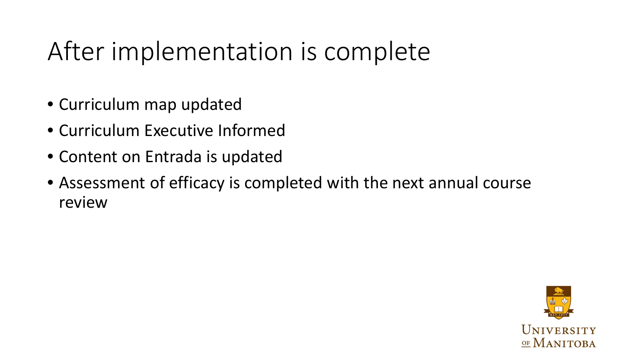## After implementation is complete

- Curriculum map updated
- Curriculum Executive Informed
- Content on Entrada is updated
- Assessment of efficacy is completed with the next annual course review

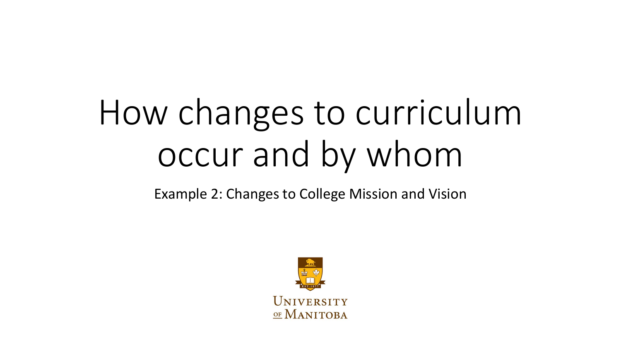# How changes to curriculum occur and by whom

Example 2: Changes to College Mission and Vision

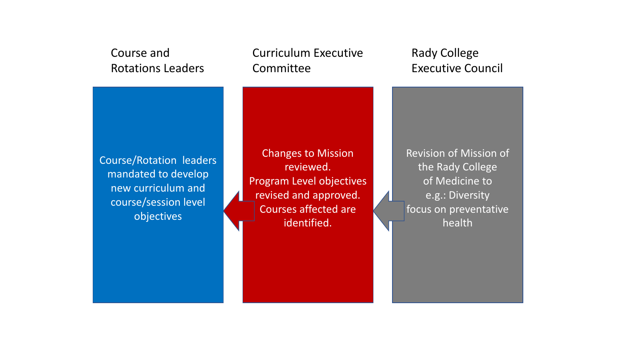#### Course and Rotations Leaders

Curriculum Executive **Committee** 

Rady College Executive Council

Course/Rotation leaders mandated to develop new curriculum and course/session level objectives

Changes to Mission reviewed. Program Level objectives revised and approved. Courses affected are identified.

Revision of Mission of the Rady College of Medicine to e.g.: Diversity focus on preventative health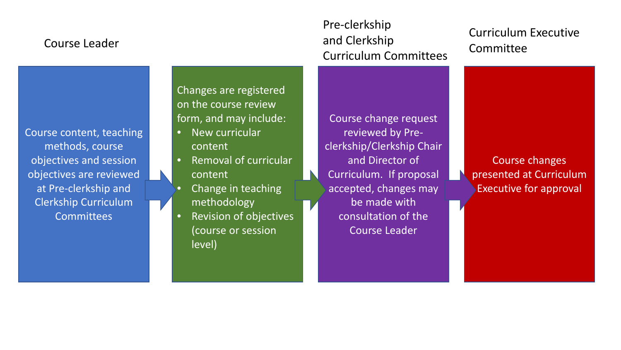#### Course Leader

Pre-clerkship and Clerkship Curriculum Committees

### Curriculum Executive Committee

Course content, teaching methods, course objectives and session objectives are reviewed at Pre-clerkship and Clerkship Curriculum **Committees** 

Changes are registered on the course review form, and may include:

- New curricular content
- Removal of curricular content
- **Change in teaching** methodology
- Revision of objectives (course or session level)

Course change request reviewed by Preclerkship/Clerkship Chair and Director of Curriculum. If proposal accepted, changes may be made with consultation of the Course Leader

Course changes presented at Curriculum Executive for approval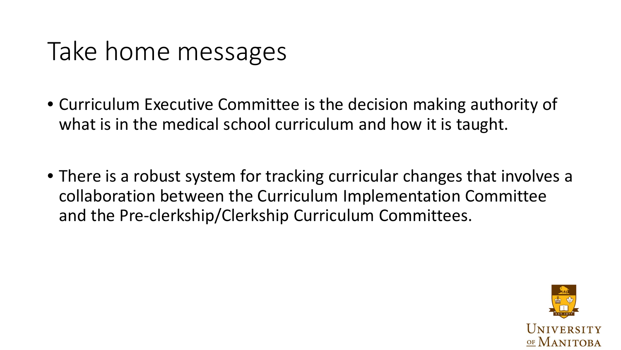### Take home messages

- Curriculum Executive Committee is the decision making authority of what is in the medical school curriculum and how it is taught.
- There is a robust system for tracking curricular changes that involves a collaboration between the Curriculum Implementation Committee and the Pre-clerkship/Clerkship Curriculum Committees.

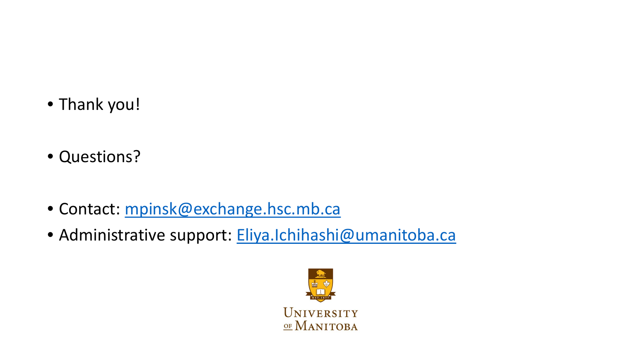- Thank you!
- Questions?
- Contact: [mpinsk@exchange.hsc.mb.ca](mailto:mpinsk@exchange.hsc.mb.ca)
- · Administrative support: [Eliya.Ichihashi@umanitoba.ca](mailto:Eliya.Ichihashi@umanitoba.ca)

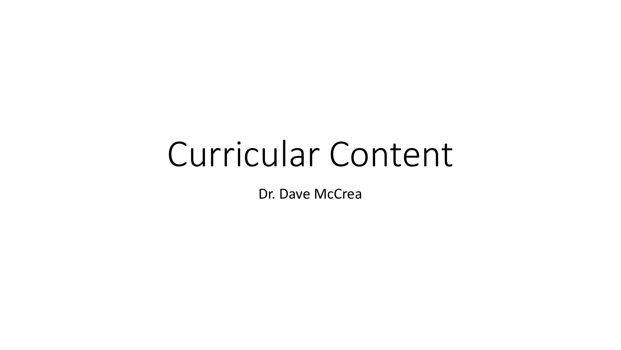## Curricular Content

Dr. Dave McCrea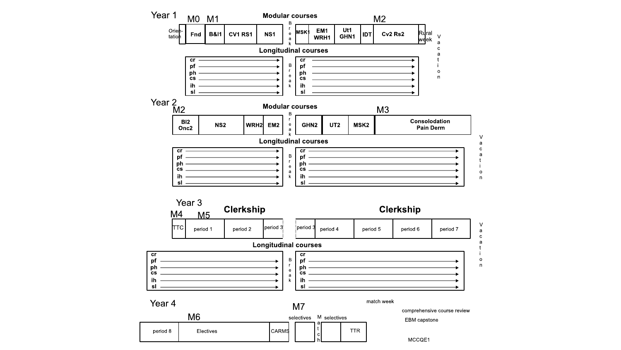